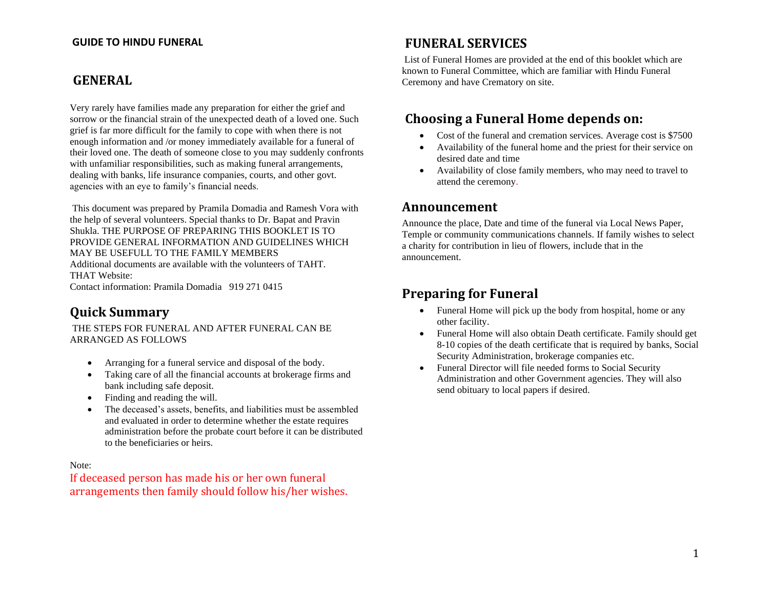#### **GUIDE TO HINDU FUNERAL**

### **GENERAL**

Very rarely have families made any preparation for either the grief and sorrow or the financial strain of the unexpected death of a loved one. Such grief is far more difficult for the family to cope with when there is not enough information and /or money immediately available for a funeral of their loved one. The death of someone close to you may suddenly confronts with unfamiliar responsibilities, such as making funeral arrangements, dealing with banks, life insurance companies, courts, and other govt. agencies with an eye to family's financial needs.

This document was prepared by Pramila Domadia and Ramesh Vora with the help of several volunteers. Special thanks to Dr. Bapat and Pravin Shukla. THE PURPOSE OF PREPARING THIS BOOKLET IS TO PROVIDE GENERAL INFORMATION AND GUIDELINES WHICH MAY BE USEFULL TO THE FAMILY MEMBERS Additional documents are available with the volunteers of TAHT. THAT Website: Contact information: Pramila Domadia 919 271 0415

# **Quick Summary**

THE STEPS FOR FUNERAL AND AFTER FUNERAL CAN BE ARRANGED AS FOLLOWS

- Arranging for a funeral service and disposal of the body.
- Taking care of all the financial accounts at brokerage firms and bank including safe deposit.
- Finding and reading the will.
- The deceased's assets, benefits, and liabilities must be assembled and evaluated in order to determine whether the estate requires administration before the probate court before it can be distributed to the beneficiaries or heirs.

Note:

If deceased person has made his or her own funeral arrangements then family should follow his/her wishes.

### **FUNERAL SERVICES**

List of Funeral Homes are provided at the end of this booklet which are known to Funeral Committee, which are familiar with Hindu Funeral Ceremony and have Crematory on site.

# **Choosing a Funeral Home depends on:**

- Cost of the funeral and cremation services. Average cost is \$7500
- Availability of the funeral home and the priest for their service on desired date and time
- Availability of close family members, who may need to travel to attend the ceremony.

### **Announcement**

Announce the place, Date and time of the funeral via Local News Paper, Temple or community communications channels. If family wishes to select a charity for contribution in lieu of flowers, include that in the announcement.

### **Preparing for Funeral**

- Funeral Home will pick up the body from hospital, home or any other facility.
- Funeral Home will also obtain Death certificate. Family should get 8-10 copies of the death certificate that is required by banks, Social Security Administration, brokerage companies etc.
- Funeral Director will file needed forms to Social Security Administration and other Government agencies. They will also send obituary to local papers if desired.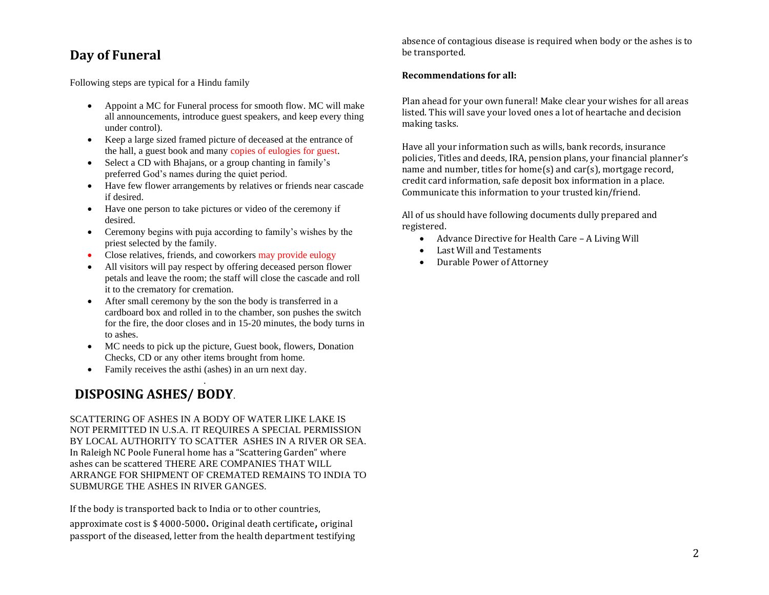# **Day of Funeral**

Following steps are typical for a Hindu family

- Appoint a MC for Funeral process for smooth flow. MC will make all announcements, introduce guest speakers, and keep every thing under control).
- Keep a large sized framed picture of deceased at the entrance of the hall, a guest book and many copies of eulogies for guest.
- Select a CD with Bhajans, or a group chanting in family's preferred God's names during the quiet period.
- Have few flower arrangements by relatives or friends near cascade if desired.
- Have one person to take pictures or video of the ceremony if desired.
- Ceremony begins with puja according to family's wishes by the priest selected by the family.
- Close relatives, friends, and coworkers may provide eulogy
- All visitors will pay respect by offering deceased person flower petals and leave the room; the staff will close the cascade and roll it to the crematory for cremation.
- After small ceremony by the son the body is transferred in a cardboard box and rolled in to the chamber, son pushes the switch for the fire, the door closes and in 15-20 minutes, the body turns in to ashes.
- MC needs to pick up the picture, Guest book, flowers, Donation Checks, CD or any other items brought from home.
- Family receives the asthi (ashes) in an urn next day.

### . **DISPOSING ASHES/ BODY**.

SCATTERING OF ASHES IN A BODY OF WATER LIKE LAKE IS NOT PERMITTED IN U.S.A. IT REQUIRES A SPECIAL PERMISSION BY LOCAL AUTHORITY TO SCATTER ASHES IN A RIVER OR SEA. In Raleigh NC Poole Funeral home has a "Scattering Garden" where ashes can be scattered THERE ARE COMPANIES THAT WILL ARRANGE FOR SHIPMENT OF CREMATED REMAINS TO INDIA TO SUBMURGE THE ASHES IN RIVER GANGES.

If the body is transported back to India or to other countries,

approximate cost is \$ 4000-5000. Original death certificate, original passport of the diseased, letter from the health department testifying absence of contagious disease is required when body or the ashes is to be transported.

#### **Recommendations for all:**

Plan ahead for your own funeral! Make clear your wishes for all areas listed. This will save your loved ones a lot of heartache and decision making tasks.

Have all your information such as wills, bank records, insurance policies, Titles and deeds, IRA, pension plans, your financial planner's name and number, titles for home(s) and car(s), mortgage record, credit card information, safe deposit box information in a place. Communicate this information to your trusted kin/friend.

All of us should have following documents dully prepared and registered.

- Advance Directive for Health Care A Living Will
- Last Will and Testaments
- Durable Power of Attorney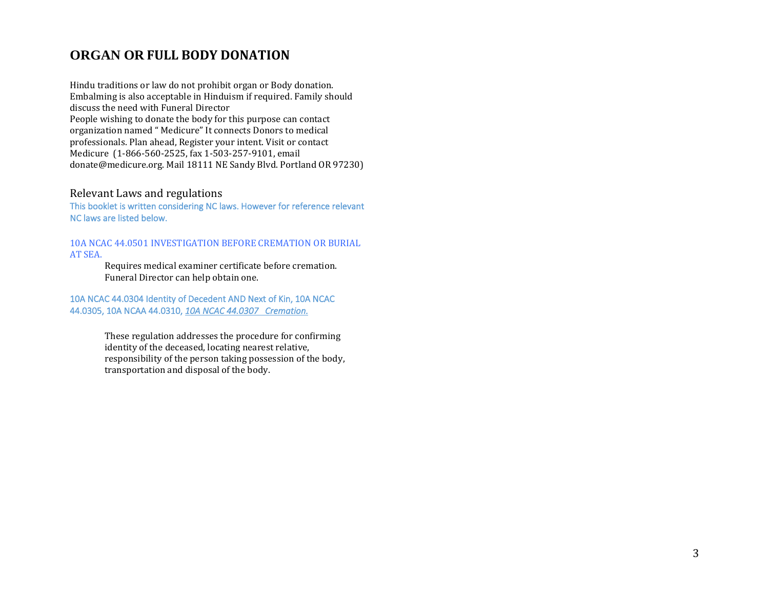# **ORGAN OR FULL BODY DONATION**

Hindu traditions or law do not prohibit organ or Body donation. Embalming is also acceptable in Hinduism if required. Family should discuss the need with Funeral Director People wishing to donate the body for this purpose can contact organization named " Medicure" It connects Donors to medical professionals. Plan ahead, Register your intent. Visit or contact Medicure (1-866-560-2525, fax 1-503-257-9101, email donate@medicure.org. Mail 18111 NE Sandy Blvd. Portland OR 97230)

#### Relevant Laws and regulations

This booklet is written considering NC laws. However for reference relevant NC laws are listed below.

10A NCAC 44.0501 INVESTIGATION BEFORE CREMATION OR BURIAL AT SEA.

> Requires medical examiner certificate before cremation. Funeral Director can help obtain one.

10A NCAC 44.0304 Identity of Decedent AND Next of Kin, 10A NCAC 44.0305, 10A NCAA 44.0310, *10A NCAC 44.0307 Cremation.* 

> These regulation addresses the procedure for confirming identity of the deceased, locating nearest relative, responsibility of the person taking possession of the body, transportation and disposal of the body.